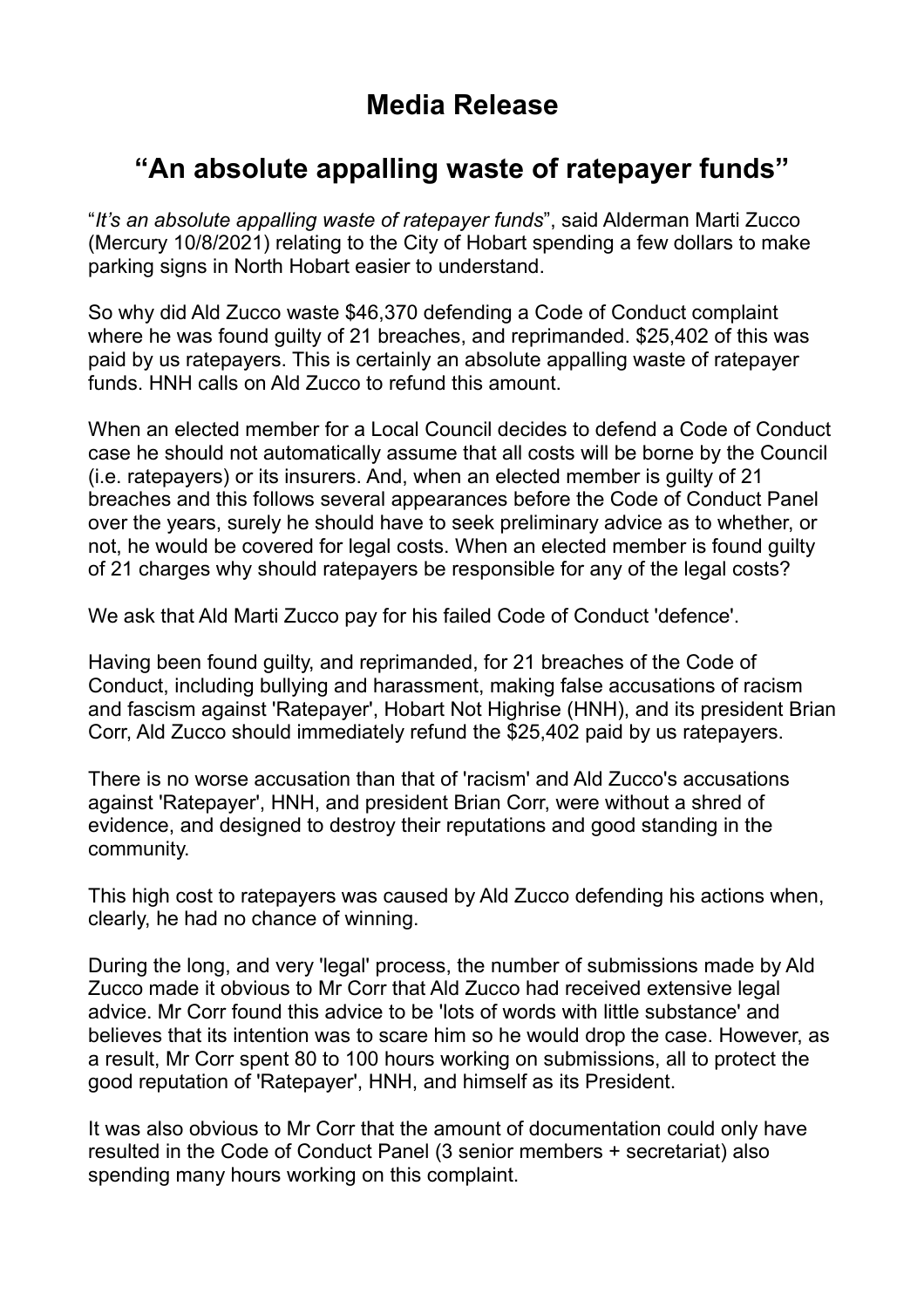# **Media Release**

## **"An absolute appalling waste of ratepayer funds"**

"*It's an absolute appalling waste of ratepayer funds*", said Alderman Marti Zucco (Mercury 10/8/2021) relating to the City of Hobart spending a few dollars to make parking signs in North Hobart easier to understand.

So why did Ald Zucco waste \$46,370 defending a Code of Conduct complaint where he was found guilty of 21 breaches, and reprimanded. \$25,402 of this was paid by us ratepayers. This is certainly an absolute appalling waste of ratepayer funds. HNH calls on Ald Zucco to refund this amount.

When an elected member for a Local Council decides to defend a Code of Conduct case he should not automatically assume that all costs will be borne by the Council (i.e. ratepayers) or its insurers. And, when an elected member is guilty of 21 breaches and this follows several appearances before the Code of Conduct Panel over the years, surely he should have to seek preliminary advice as to whether, or not, he would be covered for legal costs. When an elected member is found guilty of 21 charges why should ratepayers be responsible for any of the legal costs?

We ask that Ald Marti Zucco pay for his failed Code of Conduct 'defence'.

Having been found guilty, and reprimanded, for 21 breaches of the Code of Conduct, including bullying and harassment, making false accusations of racism and fascism against 'Ratepayer', Hobart Not Highrise (HNH), and its president Brian Corr, Ald Zucco should immediately refund the \$25,402 paid by us ratepayers.

There is no worse accusation than that of 'racism' and Ald Zucco's accusations against 'Ratepayer', HNH, and president Brian Corr, were without a shred of evidence, and designed to destroy their reputations and good standing in the community.

This high cost to ratepayers was caused by Ald Zucco defending his actions when, clearly, he had no chance of winning.

During the long, and very 'legal' process, the number of submissions made by Ald Zucco made it obvious to Mr Corr that Ald Zucco had received extensive legal advice. Mr Corr found this advice to be 'lots of words with little substance' and believes that its intention was to scare him so he would drop the case. However, as a result, Mr Corr spent 80 to 100 hours working on submissions, all to protect the good reputation of 'Ratepayer', HNH, and himself as its President.

It was also obvious to Mr Corr that the amount of documentation could only have resulted in the Code of Conduct Panel (3 senior members + secretariat) also spending many hours working on this complaint.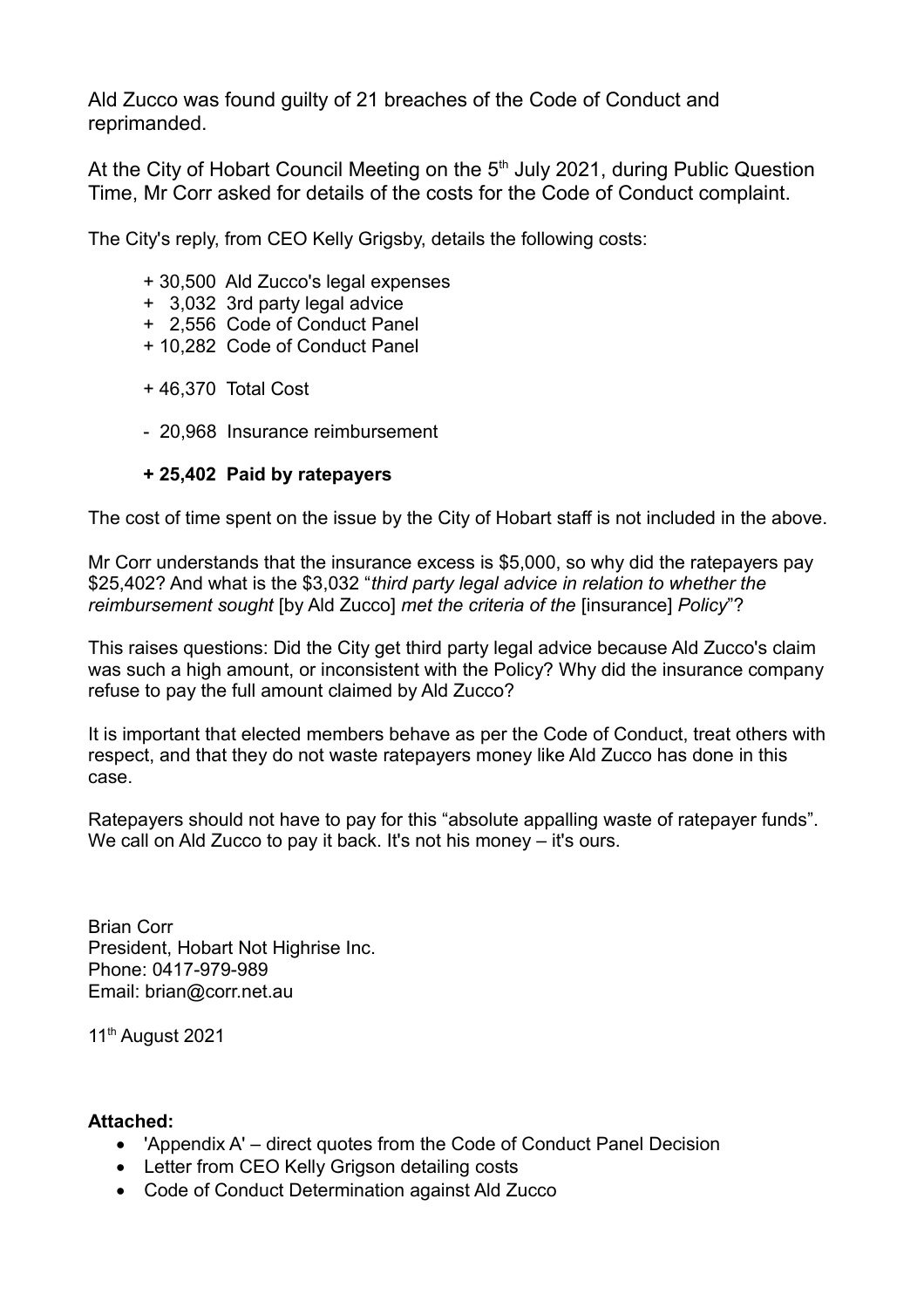Ald Zucco was found guilty of 21 breaches of the Code of Conduct and reprimanded.

At the City of Hobart Council Meeting on the  $5<sup>th</sup>$  July 2021, during Public Question Time, Mr Corr asked for details of the costs for the Code of Conduct complaint.

The City's reply, from CEO Kelly Grigsby, details the following costs:

- + 30,500 Ald Zucco's legal expenses
- + 3,032 3rd party legal advice
- + 2,556 Code of Conduct Panel
- + 10,282 Code of Conduct Panel
- + 46,370 Total Cost
- 20,968 Insurance reimbursement

#### **+ 25,402 Paid by ratepayers**

The cost of time spent on the issue by the City of Hobart staff is not included in the above.

Mr Corr understands that the insurance excess is \$5,000, so why did the ratepayers pay \$25,402? And what is the \$3,032 "*third party legal advice in relation to whether the reimbursement sought* [by Ald Zucco] *met the criteria of the* [insurance] *Policy*"?

This raises questions: Did the City get third party legal advice because Ald Zucco's claim was such a high amount, or inconsistent with the Policy? Why did the insurance company refuse to pay the full amount claimed by Ald Zucco?

It is important that elected members behave as per the Code of Conduct, treat others with respect, and that they do not waste ratepayers money like Ald Zucco has done in this case.

Ratepayers should not have to pay for this "absolute appalling waste of ratepayer funds". We call on Ald Zucco to pay it back. It's not his money – it's ours.

Brian Corr President, Hobart Not Highrise Inc. Phone: 0417-979-989 Email: brian@corr.net.au

11<sup>th</sup> August 2021

#### **Attached:**

- 'Appendix A' direct quotes from the Code of Conduct Panel Decision
- Letter from CEO Kelly Grigson detailing costs
- Code of Conduct Determination against Ald Zucco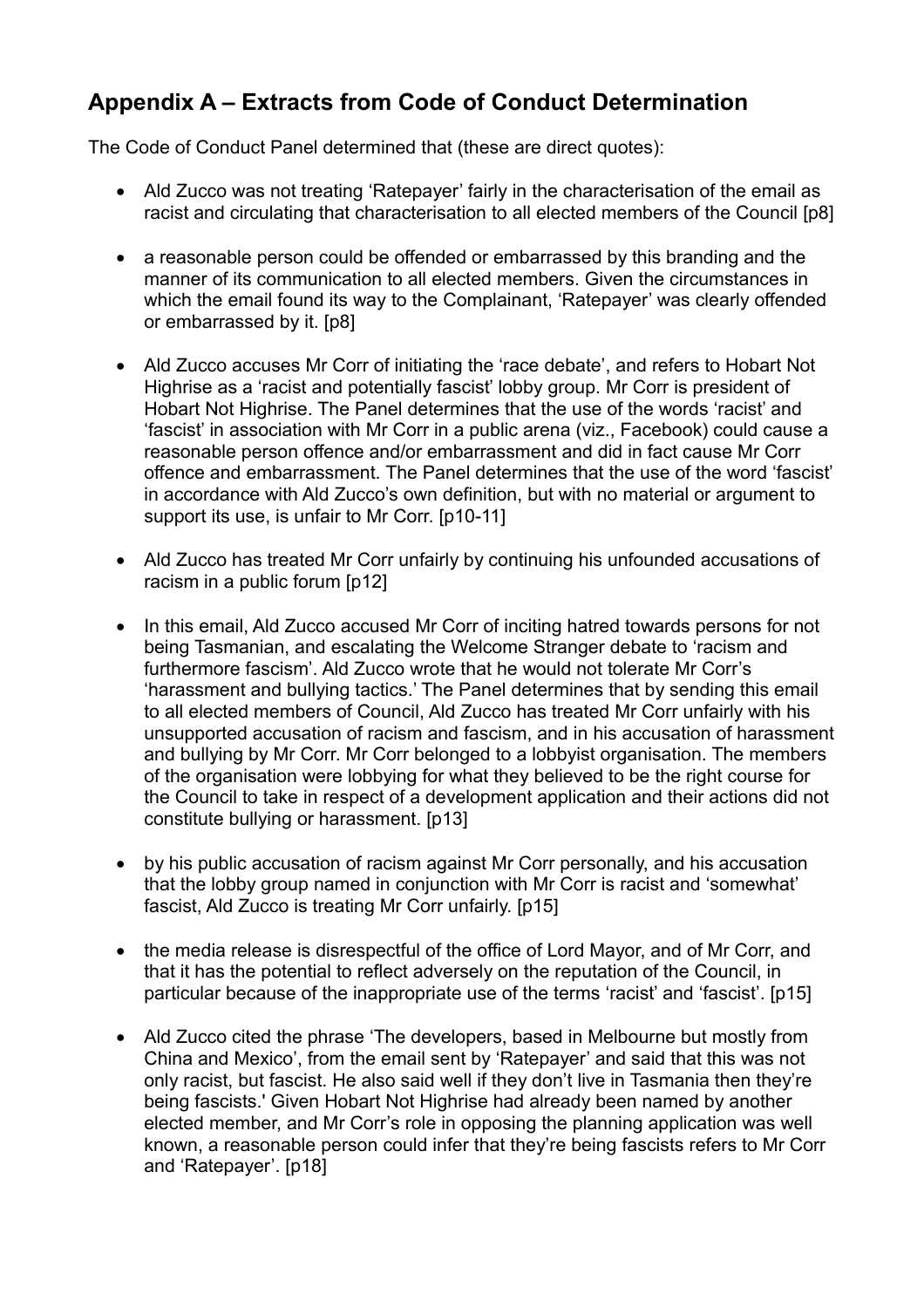### **Appendix A – Extracts from Code of Conduct Determination**

The Code of Conduct Panel determined that (these are direct quotes):

- Ald Zucco was not treating 'Ratepayer' fairly in the characterisation of the email as racist and circulating that characterisation to all elected members of the Council [p8]
- a reasonable person could be offended or embarrassed by this branding and the manner of its communication to all elected members. Given the circumstances in which the email found its way to the Complainant, 'Ratepayer' was clearly offended or embarrassed by it. [p8]
- Ald Zucco accuses Mr Corr of initiating the 'race debate', and refers to Hobart Not Highrise as a 'racist and potentially fascist' lobby group. Mr Corr is president of Hobart Not Highrise. The Panel determines that the use of the words 'racist' and 'fascist' in association with Mr Corr in a public arena (viz., Facebook) could cause a reasonable person offence and/or embarrassment and did in fact cause Mr Corr offence and embarrassment. The Panel determines that the use of the word 'fascist' in accordance with Ald Zucco's own definition, but with no material or argument to support its use, is unfair to Mr Corr. [p10-11]
- Ald Zucco has treated Mr Corr unfairly by continuing his unfounded accusations of racism in a public forum [p12]
- In this email, Ald Zucco accused Mr Corr of inciting hatred towards persons for not being Tasmanian, and escalating the Welcome Stranger debate to 'racism and furthermore fascism'. Ald Zucco wrote that he would not tolerate Mr Corr's 'harassment and bullying tactics.' The Panel determines that by sending this email to all elected members of Council, Ald Zucco has treated Mr Corr unfairly with his unsupported accusation of racism and fascism, and in his accusation of harassment and bullying by Mr Corr. Mr Corr belonged to a lobbyist organisation. The members of the organisation were lobbying for what they believed to be the right course for the Council to take in respect of a development application and their actions did not constitute bullying or harassment. [p13]
- by his public accusation of racism against Mr Corr personally, and his accusation that the lobby group named in conjunction with Mr Corr is racist and 'somewhat' fascist, Ald Zucco is treating Mr Corr unfairly. [p15]
- the media release is disrespectful of the office of Lord Mayor, and of Mr Corr, and that it has the potential to reflect adversely on the reputation of the Council, in particular because of the inappropriate use of the terms 'racist' and 'fascist'. [p15]
- Ald Zucco cited the phrase 'The developers, based in Melbourne but mostly from China and Mexico', from the email sent by 'Ratepayer' and said that this was not only racist, but fascist. He also said well if they don't live in Tasmania then they're being fascists.' Given Hobart Not Highrise had already been named by another elected member, and Mr Corr's role in opposing the planning application was well known, a reasonable person could infer that they're being fascists refers to Mr Corr and 'Ratepayer'. [p18]